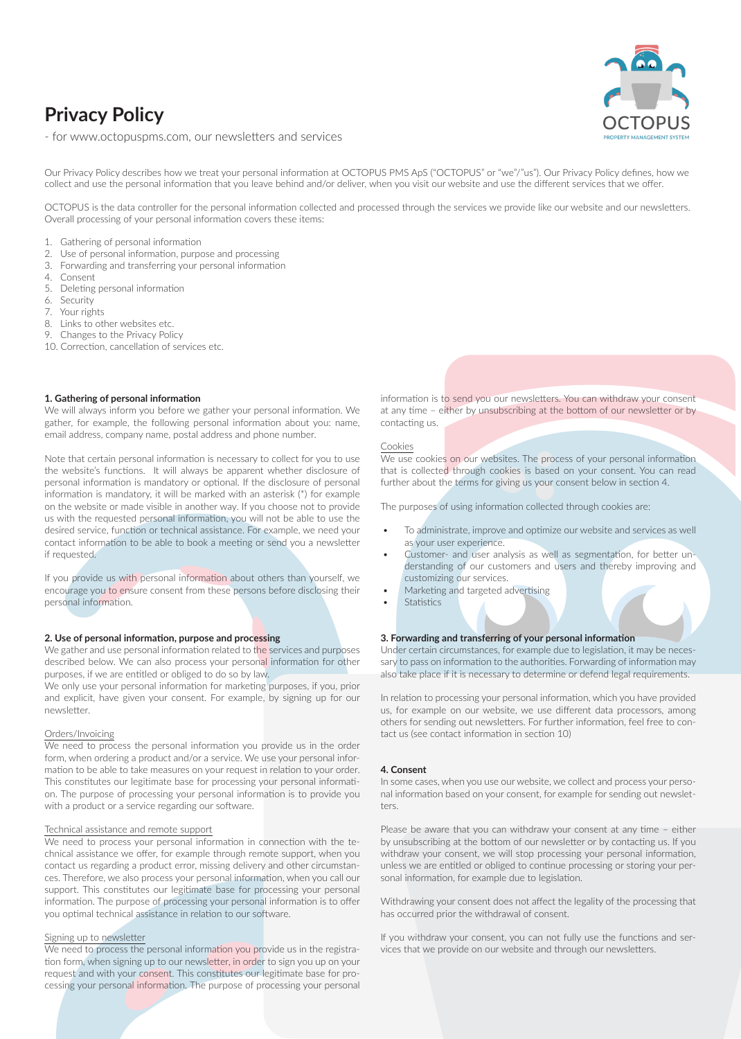# **Privacy Policy**

- for www.octopuspms.com, our newsletters and services

Our Privacy Policy describes how we treat your personal information at OCTOPUS PMS ApS ("OCTOPUS" or "we"/"us"). Our Privacy Policy defines, how we collect and use the personal information that you leave behind and/or deliver, when you visit our website and use the different services that we offer.

OCTOPUS is the data controller for the personal information collected and processed through the services we provide like our website and our newsletters. Overall processing of your personal information covers these items:

- 1. Gathering of personal information
- 2. Use of personal information, purpose and processing
- 3. Forwarding and transferring your personal information
- 4. Consent
- 5. Deleting personal information
- 6. Security
- 7. Your rights
- 8. Links to other websites etc.
- Changes to the Privacy Policy
- 10. Correction, cancellation of services etc.

# **1. Gathering of personal information**

We will always inform you before we gather your personal information. We gather, for example, the following personal information about you: name, email address, company name, postal address and phone number.

Note that certain personal information is necessary to collect for you to use the website's functions. It will always be apparent whether disclosure of personal information is mandatory or optional. If the disclosure of personal information is mandatory, it will be marked with an asterisk (\*) for example on the website or made visible in another way. If you choose not to provide us with the requested personal information, you will not be able to use the desired service, function or technical assistance. For example, we need your contact information to be able to book a meeting or send you a newsletter if requested.

If you provide us with personal information about others than yourself, we encourage you to ensure consent from these persons before disclosing their personal information.

#### **2. Use of personal information, purpose and processing**

We gather and use personal information related to the services and purposes described below. We can also process your personal information for other purposes, if we are entitled or obliged to do so by law.

.<br>We only use your personal information for marketing purposes, if you, prior and explicit, have given your consent. For example, by signing up for our newsletter.

# Orders/Invoicing

We need to process the personal information you provide us in the order form, when ordering a product and/or a service. We use your personal information to be able to take measures on your request in relation to your order. This constitutes our legitimate base for processing your personal information. The purpose of processing your personal information is to provide you with a product or a service regarding our software.

#### Technical assistance and remote support

We need to process your personal information in connection with the technical assistance we offer, for example through remote support, when you contact us regarding a product error, missing delivery and other circumstances. Therefore, we also process your personal information, when you call our support. This constitutes our legitimate base for processing your personal information. The purpose of processing your personal information is to offer you optimal technical assistance in relation to our software.

#### Signing up to newsletter

We need to process the personal information you provide us in the registration form, when signing up to our newsletter, in order to sign you up on your request and with your consent. This constitutes our legitimate base for processing your personal information. The purpose of processing your personal information is to send you our newsletters. You can withdraw your consent at any time – either by unsubscribing at the bottom of our newsletter or by contacting us.

#### Cookies

We use cookies on our websites. The process of your personal information that is collected through cookies is based on your consent. You can read further about the terms for giving us your consent below in section 4.

The purposes of using information collected through cookies are:

- To administrate, improve and optimize our website and services as well as your user experience.
- Customer- and user analysis as well as segmentation, for better understanding of our customers and users and thereby improving and customizing our services.
- Marketing and targeted advertising
- **Statistics**

#### **3. Forwarding and transferring of your personal information**

Under certain circumstances, for example due to legislation, it may be necessary to pass on information to the authorities. Forwarding of information may also take place if it is necessary to determine or defend legal requirements.

In relation to processing your personal information, which you have provided us, for example on our website, we use different data processors, among others for sending out newsletters. For further information, feel free to contact us (see contact information in section 10)

#### **4. Consent**

In some cases, when you use our website, we collect and process your personal information based on your consent, for example for sending out newsletters.

Please be aware that you can withdraw your consent at any time – either by unsubscribing at the bottom of our newsletter or by contacting us. If you withdraw your consent, we will stop processing your personal information, unless we are entitled or obliged to continue processing or storing your personal information, for example due to legislation.

Withdrawing your consent does not affect the legality of the processing that has occurred prior the withdrawal of consent.

If you withdraw your consent, you can not fully use the functions and services that we provide on our website and through our newsletters.